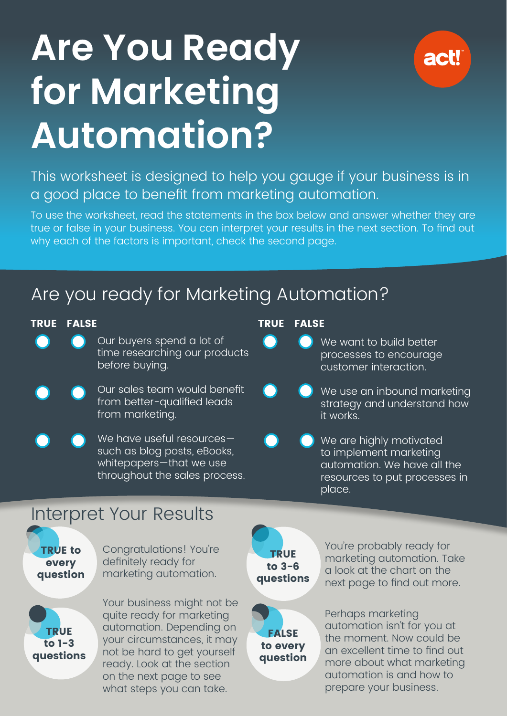# **Are You Ready for Marketing Automation?**



This worksheet is designed to help you gauge if your business is in a good place to benefit from marketing automation.

To use the worksheet, read the statements in the box below and answer whether they are true or false in your business. You can interpret your results in the next section. To find out why each of the factors is important, check the second page.

## Are you ready for Marketing Automation?

#### TRUE FALSE **TRUE FALSE**

- Our buyers spend a lot of time researching our products before buying.
- Our sales team would benefit from better-qualified leads from marketing.

We have useful resources such as blog posts, eBooks, whitepapers—that we use throughout the sales process.

- We want to build better processes to encourage customer interaction.
- We use an inbound marketing strategy and understand how it works.
- We are highly motivated to implement marketing automation. We have all the resources to put processes in place.

### Interpret Your Results

TRUE to every question Congratulations! You're definitely ready for marketing automation.



Your business might not be quite ready for marketing automation. Depending on your circumstances, it may not be hard to get yourself ready. Look at the section on the next page to see what steps you can take.

TRUE to 3-6 questions

**FALSE** to every question You're probably ready for marketing automation. Take a look at the chart on the next page to find out more.

Perhaps marketing automation isn't for you at the moment. Now could be an excellent time to find out more about what marketing automation is and how to prepare your business.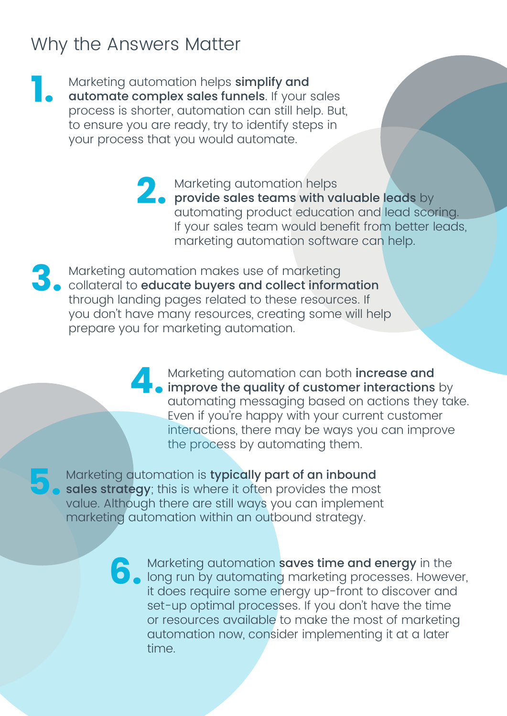#### Why the Answers Matter

**5.**

Marketing automation helps simplify and

automate complex sales funnels. If your sales process is shorter, automation can still help. But, to ensure you are ready, try to identify steps in your process that you would automate. **1.**

> Marketing automation helps provide sales teams with valuable leads by automating product education and lead scoring. If your sales team would benefit from better leads, marketing automation software can help. **2.**

**3.** Marketing automation makes use of marketing<br>collateral to **educate buyers and collect inform**<br>through landing pages related to these resourc collateral to educate buyers and collect information through landing pages related to these resources. If you don't have many resources, creating some will help prepare you for marketing automation.

> Marketing automation can both increase and improve the quality of customer interactions by automating messaging based on actions they take. Even if you're happy with your current customer interactions, there may be ways you can improve the process by automating them. **4.**

Marketing automation is typically part of an inbound sales strategy; this is where it often provides the most value. Although there are still ways you can implement marketing automation within an outbound strategy.

> Marketing automation **saves time and energy** in the long run by automating marketing processes. However, it does require some energy up-front to discover and set-up optimal processes. If you don't have the time or resources available to make the most of marketing automation now, consider implementing it at a later time. **6.**